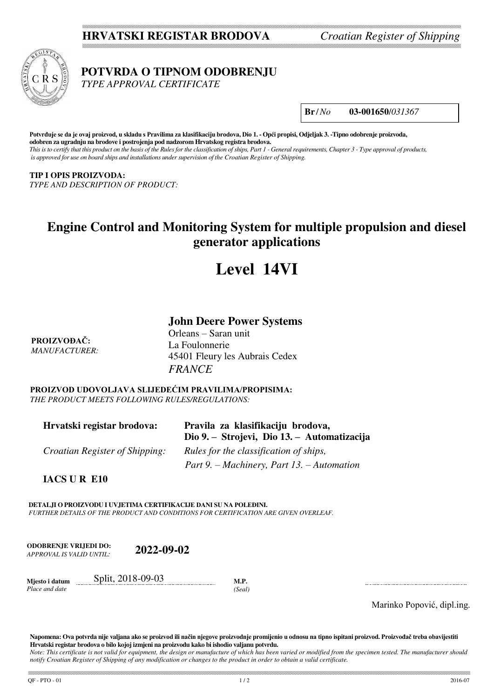## **HRVATSKI REGISTAR BRODOVA** *Croatian Register of Shipping*



 **POTVRDA O TIPNOM ODOBRENJU**

 *TYPE APPROVAL CERTIFICATE*

**Br** /*No* **03-001650**/*031367*

**Potvrđuje se da je ovaj proizvod, u skladu s Pravilima za klasifikaciju brodova, Dio 1. - Opći propisi, Odjeljak 3. -Tipno odobrenje proizvoda, odobren za ugradnju na brodove i postrojenja pod nadzorom Hrvatskog registra brodova.**  *This is to certify that this product on the basis of the Rules for the classification of ships, Part 1 - General requirements, Chapter 3 - Type approval of products, is approved for use on board ships and installations under supervision of the Croatian Register of Shipping.* 

## **TIP I OPIS PROIZVODA:**

*TYPE AND DESCRIPTION OF PRODUCT:*

## **Engine Control and Monitoring System for multiple propulsion and diesel generator applications**

# **Level 14VI**

## **John Deere Power Systems**

**PROIZVOĐAČ:** *MANUFACTURER:* Orleans – Saran unit La Foulonnerie 45401 Fleury les Aubrais Cedex *FRANCE*

**PROIZVOD UDOVOLJAVA SLIJEDEĆIM PRAVILIMA/PROPISIMA:** *THE PRODUCT MEETS FOLLOWING RULES/REGULATIONS:*

| Hrvatski registar brodova:            | Pravila za klasifikaciju brodova,<br>Dio 9. – Strojevi, Dio 13. – Automatizacija |
|---------------------------------------|----------------------------------------------------------------------------------|
| <i>Croatian Register of Shipping:</i> | Rules for the classification of ships,                                           |
|                                       | Part 9. – Machinery, Part 13. – Automation                                       |

**IACS U R E10** 

**DETALJI O PROIZVODU I UVJETIMA CERTIFIKACIJE DANI SU NA POLEĐINI.** *FURTHER DETAILS OF THE PRODUCT AND CONDITIONS FOR CERTIFICATION ARE GIVEN OVERLEAF.* 

**ODOBRENJE VRIJEDI DO:**  *APPROVAL IS VALID UNTIL:* **2022-09-02**

**Mjesto i datum**  *Place and date* Split, 2018-09-03 **M.P.** *(Seal)*

Marinko Popović, dipl.ing.

**Napomena: Ova potvrda nije valjana ako se proizvod ili način njegove proizvodnje promijenio u odnosu na tipno ispitani proizvod. Proizvođač treba obavijestiti Hrvatski registar brodova o bilo kojoj izmjeni na proizvodu kako bi ishodio valjanu potvrdu.** 

*Note: This certificate is not valid for equipment, the design or manufacture of which has been varied or modified from the specimen tested. The manufacturer should notify Croatian Register of Shipping of any modification or changes to the product in order to obtain a valid certificate.*